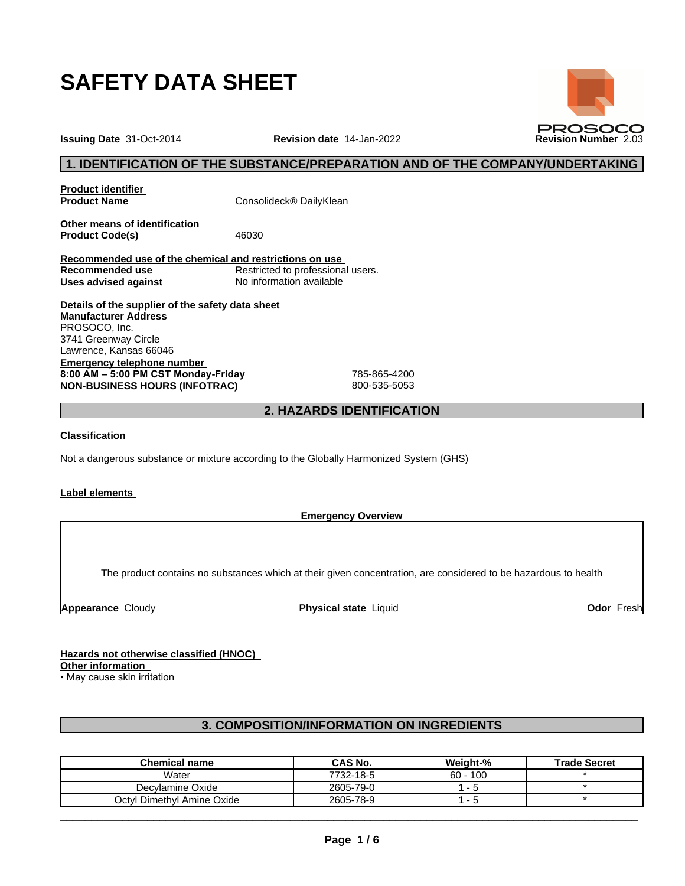

**Issuing Date** 31-Oct-2014 **Revision date** 14-Jan-2022 **Revision Number** 2.03

# **1. IDENTIFICATION OF THE SUBSTANCE/PREPARATION AND OF THE COMPANY/UNDERTAKING**

**Product identifier**

**Product Name** Consolideck<sup>®</sup> DailyKlean

**Other means of identification** Product Code(s) 46030

**Recommended use of the chemical and restrictions on use** Restricted to professional users.<br>No information available **Uses** advised against

**Details of the supplier of the safety data sheet Emergency telephone number 8:00AM–5:00PMCSTMonday-Friday** 785-865-4200 **NON-BUSINESS HOURS (INFOTRAC)** 800-535-5053 **Manufacturer Address** PROSOCO, Inc. 3741 Greenway Circle Lawrence, Kansas 66046

# **2. HAZARDS IDENTIFICATION**

### **Classification**

Not a dangerous substance or mixture according to the Globally Harmonized System (GHS)

### **Label elements**

**Emergency Overview**

The product contains no substances which at their given concentration, are considered to be hazardous to health

**Appearance** Cloudy **Physical state** Liquid **Odor** Fresh

**Hazards not otherwise classified (HNOC)**

# **Other information**

• May cause skin irritation

# **3. COMPOSITION/INFORMATION ON INGREDIENTS**

| <b>Chemical name</b>       | CAS No.   | <b>Weight-%</b> | <b>Trade Secret</b> |
|----------------------------|-----------|-----------------|---------------------|
| Water                      | 7732-18-5 | $60 - 100$      |                     |
| Decylamine Oxide           | 2605-79-0 |                 |                     |
| Octyl Dimethyl Amine Oxide | 2605-78-9 |                 |                     |

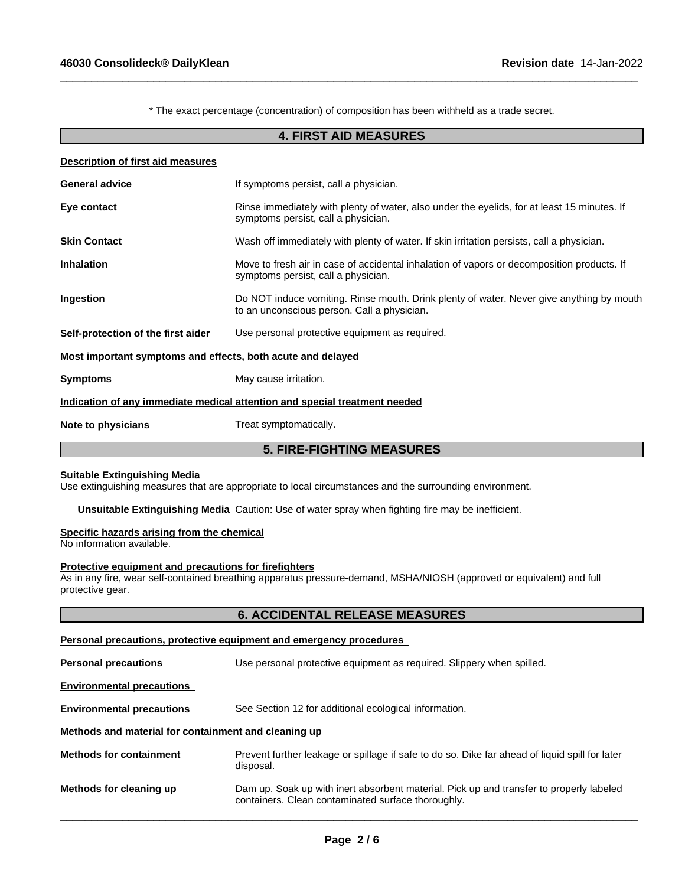\* The exact percentage (concentration) of composition has been withheld as a trade secret.

 $\_$  ,  $\_$  ,  $\_$  ,  $\_$  ,  $\_$  ,  $\_$  ,  $\_$  ,  $\_$  ,  $\_$  ,  $\_$  ,  $\_$  ,  $\_$  ,  $\_$  ,  $\_$  ,  $\_$  ,  $\_$  ,  $\_$  ,  $\_$  ,  $\_$  ,  $\_$  ,  $\_$  ,  $\_$  ,  $\_$  ,  $\_$  ,  $\_$  ,  $\_$  ,  $\_$  ,  $\_$  ,  $\_$  ,  $\_$  ,  $\_$  ,  $\_$  ,  $\_$  ,  $\_$  ,  $\_$  ,  $\_$  ,  $\_$  ,

### **4. FIRST AID MEASURES**

|                                                             | <b>5. FIRE-FIGHTING MEASURES</b>                                                                                                        |  |
|-------------------------------------------------------------|-----------------------------------------------------------------------------------------------------------------------------------------|--|
| Note to physicians                                          | Treat symptomatically.                                                                                                                  |  |
|                                                             | Indication of any immediate medical attention and special treatment needed                                                              |  |
| <b>Symptoms</b>                                             | May cause irritation.                                                                                                                   |  |
| Most important symptoms and effects, both acute and delayed |                                                                                                                                         |  |
| Self-protection of the first aider                          | Use personal protective equipment as required.                                                                                          |  |
| Ingestion                                                   | Do NOT induce vomiting. Rinse mouth. Drink plenty of water. Never give anything by mouth<br>to an unconscious person. Call a physician. |  |
| <b>Inhalation</b>                                           | Move to fresh air in case of accidental inhalation of vapors or decomposition products. If<br>symptoms persist, call a physician.       |  |
| <b>Skin Contact</b>                                         | Wash off immediately with plenty of water. If skin irritation persists, call a physician.                                               |  |
| Eye contact                                                 | Rinse immediately with plenty of water, also under the eyelids, for at least 15 minutes. If<br>symptoms persist, call a physician.      |  |
| <b>General advice</b>                                       | If symptoms persist, call a physician.                                                                                                  |  |
| Description of first aid measures                           |                                                                                                                                         |  |

#### **Suitable Extinguishing Media**

Use extinguishing measures that are appropriate to local circumstances and the surrounding environment.

**Unsuitable Extinguishing Media** Caution: Use of water spray when fighting fire may be inefficient.

# **Specific hazards arising from the chemical**

No information available.

#### **Protective equipment and precautions for firefighters**

As in any fire, wear self-contained breathing apparatus pressure-demand, MSHA/NIOSH (approved or equivalent) and full protective gear.

# **6. ACCIDENTAL RELEASE MEASURES**

# **Personal precautions, protective equipment and emergency procedures**

| <b>Personal precautions</b>                          | Use personal protective equipment as required. Slippery when spilled.                                                                         |  |  |
|------------------------------------------------------|-----------------------------------------------------------------------------------------------------------------------------------------------|--|--|
| <b>Environmental precautions</b>                     |                                                                                                                                               |  |  |
| <b>Environmental precautions</b>                     | See Section 12 for additional ecological information.                                                                                         |  |  |
| Methods and material for containment and cleaning up |                                                                                                                                               |  |  |
| <b>Methods for containment</b>                       | Prevent further leakage or spillage if safe to do so. Dike far ahead of liquid spill for later<br>disposal.                                   |  |  |
| Methods for cleaning up                              | Dam up. Soak up with inert absorbent material. Pick up and transfer to properly labeled<br>containers. Clean contaminated surface thoroughly. |  |  |
|                                                      |                                                                                                                                               |  |  |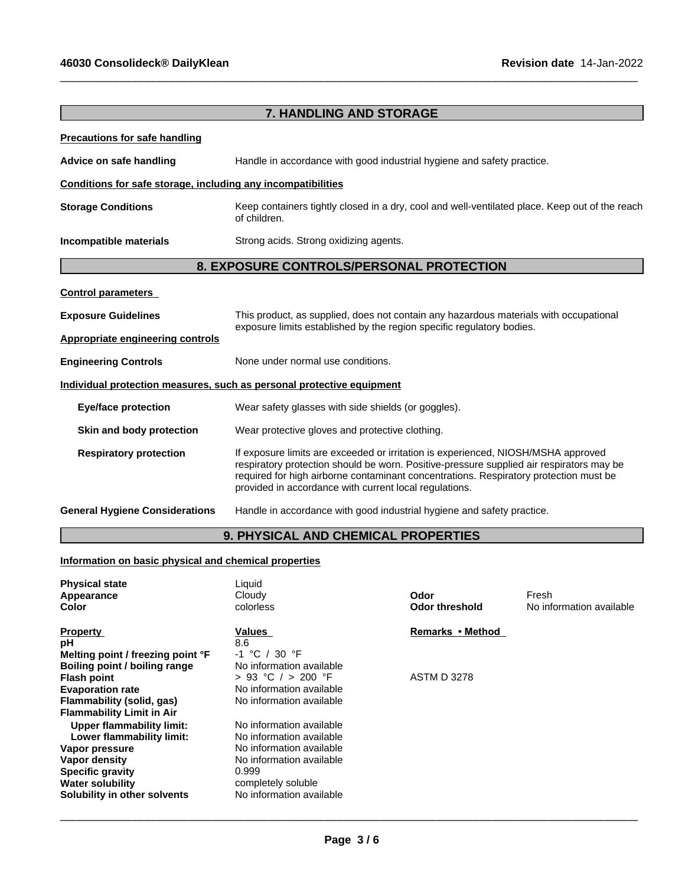**Flammability Limit in Air**

**Lower flammability limit:** 

**Solubility** in other solvents

**Specifical Property**<br> **Specific gravity**<br> **Specific gravity**<br> **Water solubility** 

**Upper flammability limit:** No information available<br> **Lower flammability limit:** No information available

|                                                                                                       | <b>7. HANDLING AND STORAGE</b>                                                                                                                                                                                                                                                                                                   |                       |                          |  |
|-------------------------------------------------------------------------------------------------------|----------------------------------------------------------------------------------------------------------------------------------------------------------------------------------------------------------------------------------------------------------------------------------------------------------------------------------|-----------------------|--------------------------|--|
| <b>Precautions for safe handling</b>                                                                  |                                                                                                                                                                                                                                                                                                                                  |                       |                          |  |
|                                                                                                       |                                                                                                                                                                                                                                                                                                                                  |                       |                          |  |
| Advice on safe handling                                                                               | Handle in accordance with good industrial hygiene and safety practice.                                                                                                                                                                                                                                                           |                       |                          |  |
| Conditions for safe storage, including any incompatibilities                                          |                                                                                                                                                                                                                                                                                                                                  |                       |                          |  |
| <b>Storage Conditions</b>                                                                             | Keep containers tightly closed in a dry, cool and well-ventilated place. Keep out of the reach<br>of children.                                                                                                                                                                                                                   |                       |                          |  |
| Incompatible materials                                                                                | Strong acids. Strong oxidizing agents.                                                                                                                                                                                                                                                                                           |                       |                          |  |
|                                                                                                       | 8. EXPOSURE CONTROLS/PERSONAL PROTECTION                                                                                                                                                                                                                                                                                         |                       |                          |  |
| <b>Control parameters</b>                                                                             |                                                                                                                                                                                                                                                                                                                                  |                       |                          |  |
| <b>Exposure Guidelines</b>                                                                            | This product, as supplied, does not contain any hazardous materials with occupational                                                                                                                                                                                                                                            |                       |                          |  |
| <b>Appropriate engineering controls</b>                                                               | exposure limits established by the region specific regulatory bodies.                                                                                                                                                                                                                                                            |                       |                          |  |
|                                                                                                       |                                                                                                                                                                                                                                                                                                                                  |                       |                          |  |
| <b>Engineering Controls</b>                                                                           | None under normal use conditions.                                                                                                                                                                                                                                                                                                |                       |                          |  |
| Individual protection measures, such as personal protective equipment                                 |                                                                                                                                                                                                                                                                                                                                  |                       |                          |  |
| <b>Eye/face protection</b>                                                                            | Wear safety glasses with side shields (or goggles).                                                                                                                                                                                                                                                                              |                       |                          |  |
| Skin and body protection                                                                              | Wear protective gloves and protective clothing.                                                                                                                                                                                                                                                                                  |                       |                          |  |
| <b>Respiratory protection</b>                                                                         | If exposure limits are exceeded or irritation is experienced, NIOSH/MSHA approved<br>respiratory protection should be worn. Positive-pressure supplied air respirators may be<br>required for high airborne contaminant concentrations. Respiratory protection must be<br>provided in accordance with current local regulations. |                       |                          |  |
| <b>General Hygiene Considerations</b>                                                                 | Handle in accordance with good industrial hygiene and safety practice.                                                                                                                                                                                                                                                           |                       |                          |  |
|                                                                                                       | 9. PHYSICAL AND CHEMICAL PROPERTIES                                                                                                                                                                                                                                                                                              |                       |                          |  |
| Information on basic physical and chemical properties                                                 |                                                                                                                                                                                                                                                                                                                                  |                       |                          |  |
| <b>Physical state</b><br>Appearance                                                                   | Liquid<br>Cloudy                                                                                                                                                                                                                                                                                                                 | Odor                  | Fresh                    |  |
| Color                                                                                                 | colorless                                                                                                                                                                                                                                                                                                                        | <b>Odor threshold</b> | No information available |  |
| <b>Property</b>                                                                                       | <b>Values</b>                                                                                                                                                                                                                                                                                                                    | Remarks • Method      |                          |  |
| рH<br>Melting point / freezing point °F<br><b>Boiling point / boiling range</b><br><b>Flash point</b> | 8.6<br>-1 °C / 30 °F<br>No information available<br>> 93 °C $/$ > 200 °F                                                                                                                                                                                                                                                         | <b>ASTM D 3278</b>    |                          |  |
| <b>Evaporation rate</b><br><b>Flammability (solid, gas)</b>                                           | No information available<br>No information available                                                                                                                                                                                                                                                                             |                       |                          |  |

 $\_$  ,  $\_$  ,  $\_$  ,  $\_$  ,  $\_$  ,  $\_$  ,  $\_$  ,  $\_$  ,  $\_$  ,  $\_$  ,  $\_$  ,  $\_$  ,  $\_$  ,  $\_$  ,  $\_$  ,  $\_$  ,  $\_$  ,  $\_$  ,  $\_$  ,  $\_$  ,  $\_$  ,  $\_$  ,  $\_$  ,  $\_$  ,  $\_$  ,  $\_$  ,  $\_$  ,  $\_$  ,  $\_$  ,  $\_$  ,  $\_$  ,  $\_$  ,  $\_$  ,  $\_$  ,  $\_$  ,  $\_$  ,  $\_$  ,

 $\overline{\phantom{a}}$  ,  $\overline{\phantom{a}}$  ,  $\overline{\phantom{a}}$  ,  $\overline{\phantom{a}}$  ,  $\overline{\phantom{a}}$  ,  $\overline{\phantom{a}}$  ,  $\overline{\phantom{a}}$  ,  $\overline{\phantom{a}}$  ,  $\overline{\phantom{a}}$  ,  $\overline{\phantom{a}}$  ,  $\overline{\phantom{a}}$  ,  $\overline{\phantom{a}}$  ,  $\overline{\phantom{a}}$  ,  $\overline{\phantom{a}}$  ,  $\overline{\phantom{a}}$  ,  $\overline{\phantom{a}}$ 

**No information available No information available**<br>0.999

completely soluble<br>No information available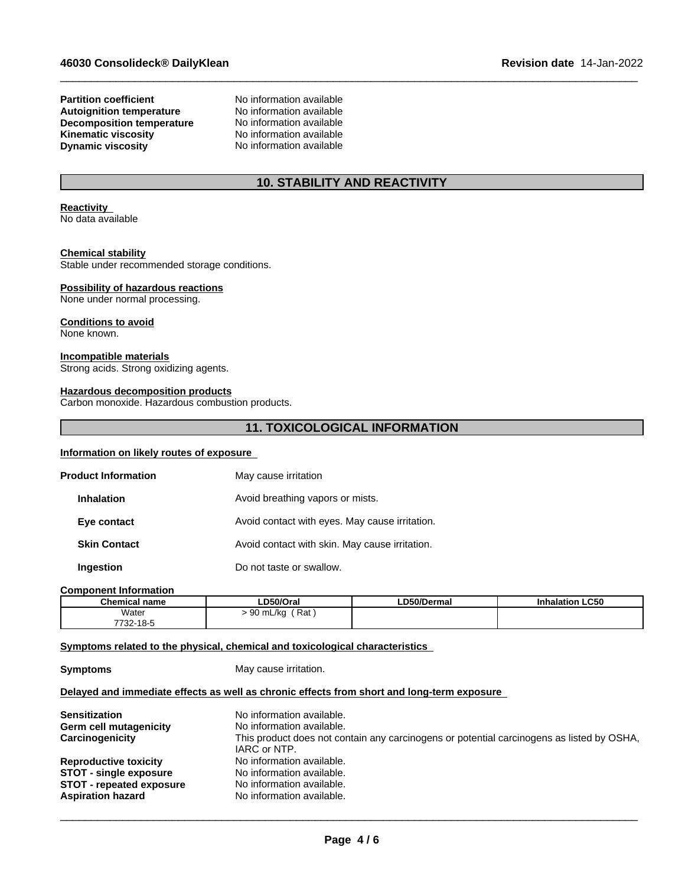#### **Partition coefficient**<br> **Autoignition temperature**<br>
No information available **Autoignition temperature No information available**<br> **Decomposition temperature No information available Decomposition temperature** No information available<br> **Kinematic viscosity** No information available **Kinematic viscosity Dynamic viscosity** No information available

# **10. STABILITY AND REACTIVITY**

 $\_$  ,  $\_$  ,  $\_$  ,  $\_$  ,  $\_$  ,  $\_$  ,  $\_$  ,  $\_$  ,  $\_$  ,  $\_$  ,  $\_$  ,  $\_$  ,  $\_$  ,  $\_$  ,  $\_$  ,  $\_$  ,  $\_$  ,  $\_$  ,  $\_$  ,  $\_$  ,  $\_$  ,  $\_$  ,  $\_$  ,  $\_$  ,  $\_$  ,  $\_$  ,  $\_$  ,  $\_$  ,  $\_$  ,  $\_$  ,  $\_$  ,  $\_$  ,  $\_$  ,  $\_$  ,  $\_$  ,  $\_$  ,  $\_$  ,

#### **Reactivity** No data available

### **Chemical stability**

Stable under recommended storage conditions.

#### **Possibility of hazardous reactions**

None under normal processing.

### **Conditions to avoid**

None known.

#### **Incompatible materials**

Strong acids. Strong oxidizing agents.

### **Hazardous decomposition products**

Carbon monoxide. Hazardous combustion products.

# **11. TOXICOLOGICAL INFORMATION**

### **Information on likely routes of exposure**

| <b>Product Information</b> | May cause irritation                           |
|----------------------------|------------------------------------------------|
| <b>Inhalation</b>          | Avoid breathing vapors or mists.               |
| Eye contact                | Avoid contact with eyes. May cause irritation. |
| <b>Skin Contact</b>        | Avoid contact with skin. May cause irritation. |
| Ingestion                  | Do not taste or swallow.                       |

#### **Component Information**

| $^{\circ}$ hamu<br>name<br>тнс.а              | D50/Orai              | 050/Derma | <b>LC50</b> |
|-----------------------------------------------|-----------------------|-----------|-------------|
| Water                                         | Rat<br>∣ mL/ka<br>. . |           |             |
| 10 <sup>7</sup><br>7700<br>- 10-0<br>' - 22 ا |                       |           |             |

### **<u>Symptoms related to the physical, chemical and toxicological characteristics</u>**

**Symptoms** May cause irritation.

## **Delayed and immediate effects as well as chronic effects from short and long-term exposure**

| <b>Sensitization</b>            | No information available.                                                                 |
|---------------------------------|-------------------------------------------------------------------------------------------|
| Germ cell mutagenicity          | No information available.                                                                 |
| Carcinogenicity                 | This product does not contain any carcinogens or potential carcinogens as listed by OSHA, |
|                                 | IARC or NTP.                                                                              |
| <b>Reproductive toxicity</b>    | No information available.                                                                 |
| <b>STOT - single exposure</b>   | No information available.                                                                 |
| <b>STOT - repeated exposure</b> | No information available.                                                                 |
| <b>Aspiration hazard</b>        | No information available.                                                                 |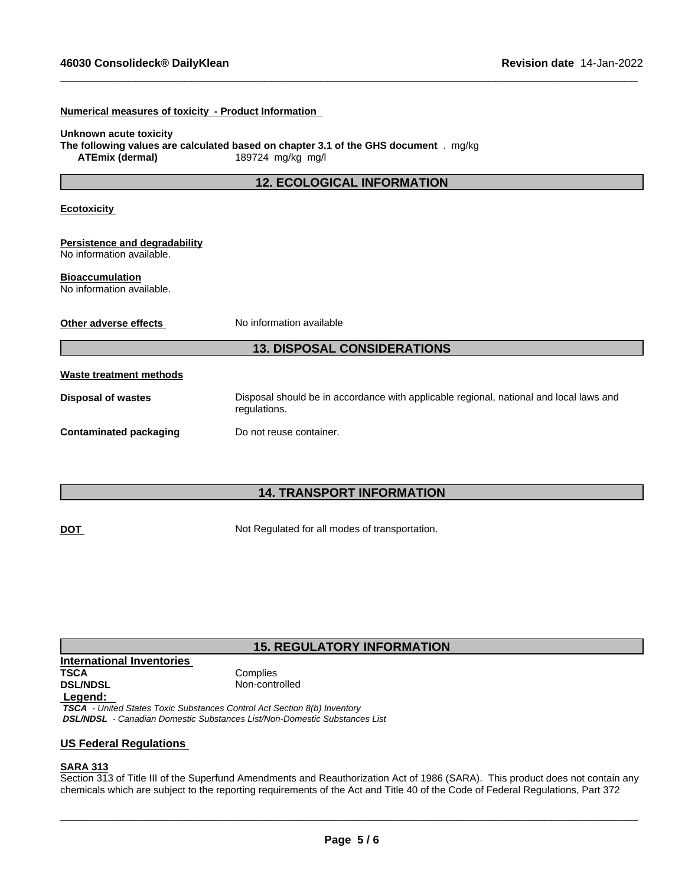**Numerical measures of toxicity - Product Information**

| Unknown acute toxicity<br><b>ATEmix (dermal)</b>           | The following values are calculated based on chapter 3.1 of the GHS document . mg/kg<br>189724 mg/kg mg/l |
|------------------------------------------------------------|-----------------------------------------------------------------------------------------------------------|
|                                                            | <b>12. ECOLOGICAL INFORMATION</b>                                                                         |
| <b>Ecotoxicity</b>                                         |                                                                                                           |
| Persistence and degradability<br>No information available. |                                                                                                           |
| <b>Bioaccumulation</b><br>No information available.        |                                                                                                           |
| Other adverse effects                                      | No information available                                                                                  |
|                                                            | <b>13. DISPOSAL CONSIDERATIONS</b>                                                                        |
| <b>Waste treatment methods</b>                             |                                                                                                           |
| <b>Disposal of wastes</b>                                  | Disposal should be in accordance with applicable regional, national and local laws and<br>regulations.    |
| <b>Contaminated packaging</b>                              | Do not reuse container.                                                                                   |
|                                                            |                                                                                                           |

 $\_$  ,  $\_$  ,  $\_$  ,  $\_$  ,  $\_$  ,  $\_$  ,  $\_$  ,  $\_$  ,  $\_$  ,  $\_$  ,  $\_$  ,  $\_$  ,  $\_$  ,  $\_$  ,  $\_$  ,  $\_$  ,  $\_$  ,  $\_$  ,  $\_$  ,  $\_$  ,  $\_$  ,  $\_$  ,  $\_$  ,  $\_$  ,  $\_$  ,  $\_$  ,  $\_$  ,  $\_$  ,  $\_$  ,  $\_$  ,  $\_$  ,  $\_$  ,  $\_$  ,  $\_$  ,  $\_$  ,  $\_$  ,  $\_$  ,

# **14. TRANSPORT INFORMATION**

**DOT** Not Regulated for all modes of transportation.

# **15. REGULATORY INFORMATION**

**International Inventories TSCA** Complies<br> **DSL/NDSL** Complies

Non-controlled

# **Legend:**

 *TSCA - United States Toxic Substances Control Act Section 8(b) Inventory DSL/NDSL - Canadian Domestic Substances List/Non-Domestic Substances List*

# **US Federal Regulations**

# **SARA 313**

Section 313 of Title III of the Superfund Amendments and Reauthorization Act of 1986 (SARA). This product does not contain any chemicals which are subject to the reporting requirements of the Act and Title 40 of the Code of Federal Regulations, Part 372